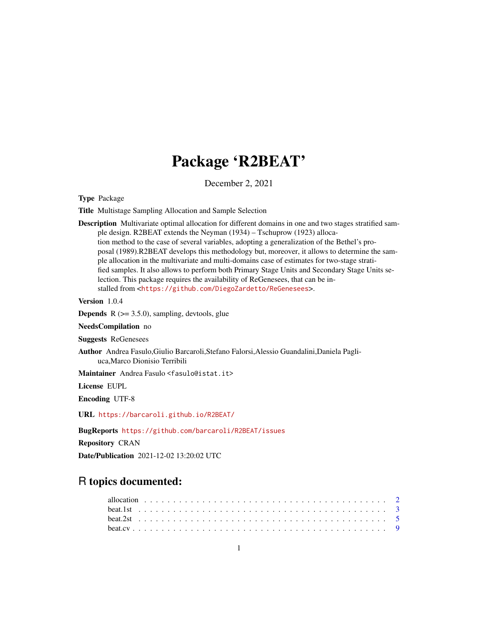## Package 'R2BEAT'

December 2, 2021

Type Package

Title Multistage Sampling Allocation and Sample Selection

Description Multivariate optimal allocation for different domains in one and two stages stratified sample design. R2BEAT extends the Neyman (1934) – Tschuprow (1923) allocation method to the case of several variables, adopting a generalization of the Bethel's proposal (1989).R2BEAT develops this methodology but, moreover, it allows to determine the sample allocation in the multivariate and multi-domains case of estimates for two-stage stratified samples. It also allows to perform both Primary Stage Units and Secondary Stage Units selection. This package requires the availability of ReGenesees, that can be installed from <<https://github.com/DiegoZardetto/ReGenesees>>.

Version 1.0.4

**Depends**  $R$  ( $>= 3.5.0$ ), sampling, devtools, glue

NeedsCompilation no

Suggests ReGenesees

Author Andrea Fasulo,Giulio Barcaroli,Stefano Falorsi,Alessio Guandalini,Daniela Pagliuca,Marco Dionisio Terribili

Maintainer Andrea Fasulo <fasulo@istat.it>

License EUPL

Encoding UTF-8

URL <https://barcaroli.github.io/R2BEAT/>

BugReports <https://github.com/barcaroli/R2BEAT/issues>

Repository CRAN

Date/Publication 2021-12-02 13:20:02 UTC

## R topics documented: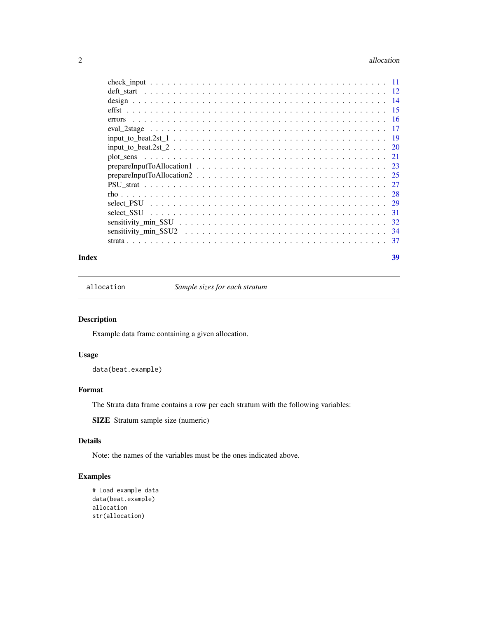#### <span id="page-1-0"></span>2 allocation and the contract of the contract of the contract of the contract of the contract of the contract of the contract of the contract of the contract of the contract of the contract of the contract of the contract

| PSU strated in the second contact the second contact in the second strategy of the second strategy of the second strategy of $\sim$ | 27   |
|-------------------------------------------------------------------------------------------------------------------------------------|------|
|                                                                                                                                     | 28   |
|                                                                                                                                     | 29   |
|                                                                                                                                     | -31  |
|                                                                                                                                     |      |
|                                                                                                                                     | -34  |
|                                                                                                                                     | - 37 |
|                                                                                                                                     |      |

#### **Index** [39](#page-38-0)

<span id="page-1-1"></span>allocation *Sample sizes for each stratum*

## Description

Example data frame containing a given allocation.

## Usage

data(beat.example)

## Format

The Strata data frame contains a row per each stratum with the following variables:

SIZE Stratum sample size (numeric)

## Details

Note: the names of the variables must be the ones indicated above.

```
# Load example data
data(beat.example)
allocation
str(allocation)
```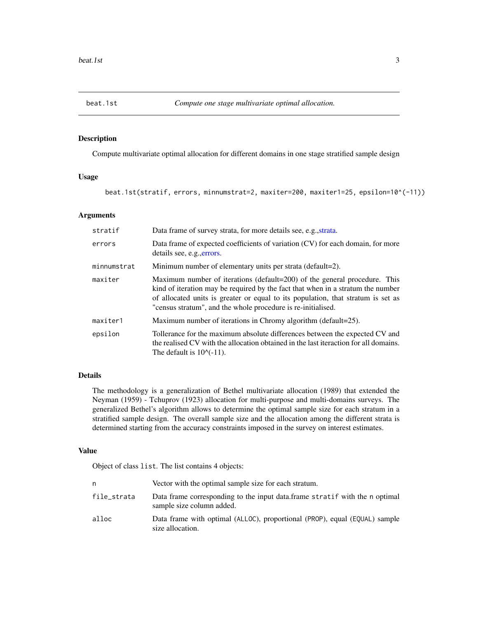<span id="page-2-1"></span><span id="page-2-0"></span>

## Description

Compute multivariate optimal allocation for different domains in one stage stratified sample design

#### Usage

beat.1st(stratif, errors, minnumstrat=2, maxiter=200, maxiter1=25, epsilon=10^(-11))

## Arguments

| stratif     | Data frame of survey strata, for more details see, e.g., strata.                                                                                                                                                                                                                                                 |
|-------------|------------------------------------------------------------------------------------------------------------------------------------------------------------------------------------------------------------------------------------------------------------------------------------------------------------------|
| errors      | Data frame of expected coefficients of variation (CV) for each domain, for more<br>details see, e.g., errors.                                                                                                                                                                                                    |
| minnumstrat | Minimum number of elementary units per strata (default=2).                                                                                                                                                                                                                                                       |
| maxiter     | Maximum number of iterations (default=200) of the general procedure. This<br>kind of iteration may be required by the fact that when in a stratum the number<br>of allocated units is greater or equal to its population, that stratum is set as<br>"census stratum", and the whole procedure is re-initialised. |
| maxiter1    | Maximum number of iterations in Chromy algorithm (default=25).                                                                                                                                                                                                                                                   |
| epsilon     | Tollerance for the maximum absolute differences between the expected CV and<br>the realised CV with the allocation obtained in the last iteraction for all domains.<br>The default is $10^{-11}$ .                                                                                                               |

## Details

The methodology is a generalization of Bethel multivariate allocation (1989) that extended the Neyman (1959) - Tchuprov (1923) allocation for multi-purpose and multi-domains surveys. The generalized Bethel's algorithm allows to determine the optimal sample size for each stratum in a stratified sample design. The overall sample size and the allocation among the different strata is determined starting from the accuracy constraints imposed in the survey on interest estimates.

## Value

Object of class list. The list contains 4 objects:

| n           | Vector with the optimal sample size for each stratum.                                                    |
|-------------|----------------------------------------------------------------------------------------------------------|
| file_strata | Data frame corresponding to the input data frame stratif with the n optimal<br>sample size column added. |
| alloc       | Data frame with optimal (ALLOC), proportional (PROP), equal (EQUAL) sample<br>size allocation.           |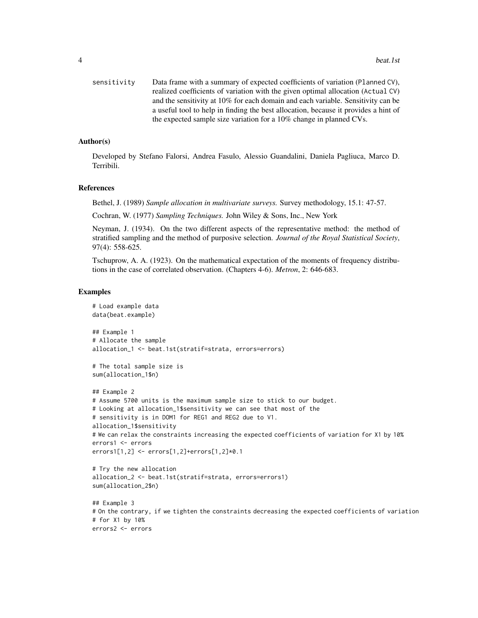| sensitivity | Data frame with a summary of expected coefficients of variation (Planned CV),       |
|-------------|-------------------------------------------------------------------------------------|
|             | realized coefficients of variation with the given optimal allocation (Actual CV)    |
|             | and the sensitivity at 10% for each domain and each variable. Sensitivity can be    |
|             | a useful tool to help in finding the best allocation, because it provides a hint of |
|             | the expected sample size variation for a 10% change in planned CVs.                 |

#### Author(s)

Developed by Stefano Falorsi, Andrea Fasulo, Alessio Guandalini, Daniela Pagliuca, Marco D. Terribili.

#### References

Bethel, J. (1989) *Sample allocation in multivariate surveys.* Survey methodology, 15.1: 47-57.

Cochran, W. (1977) *Sampling Techniques.* John Wiley & Sons, Inc., New York

Neyman, J. (1934). On the two different aspects of the representative method: the method of stratified sampling and the method of purposive selection. *Journal of the Royal Statistical Society*, 97(4): 558-625.

Tschuprow, A. A. (1923). On the mathematical expectation of the moments of frequency distributions in the case of correlated observation. (Chapters 4-6). *Metron*, 2: 646-683.

#### Examples

# for X1 by 10% errors2 <- errors

```
# Load example data
data(beat.example)
## Example 1
# Allocate the sample
allocation_1 <- beat.1st(stratif=strata, errors=errors)
# The total sample size is
sum(allocation_1$n)
## Example 2
# Assume 5700 units is the maximum sample size to stick to our budget.
# Looking at allocation_1$sensitivity we can see that most of the
# sensitivity is in DOM1 for REG1 and REG2 due to V1.
allocation_1$sensitivity
# We can relax the constraints increasing the expected coefficients of variation for X1 by 10%
errors1 <- errors
errors1[1,2] <- errors[1,2]+errors[1,2]*0.1
# Try the new allocation
allocation_2 <- beat.1st(stratif=strata, errors=errors1)
sum(allocation_2$n)
## Example 3
# On the contrary, if we tighten the constraints decreasing the expected coefficients of variation
```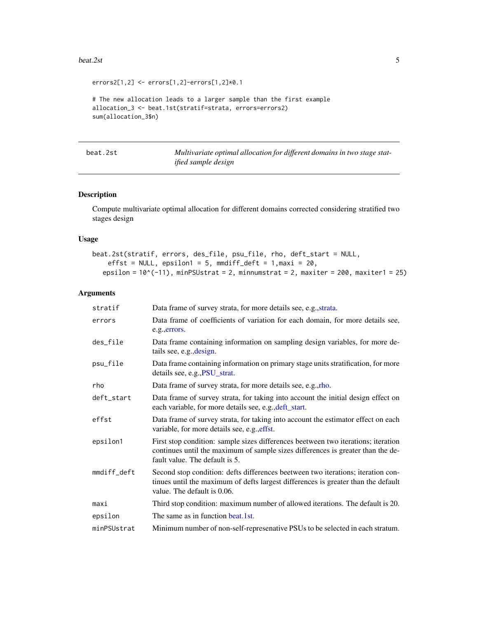#### <span id="page-4-0"></span>beat.2st 5

```
errors2[1,2] <- errors[1,2]-errors[1,2]*0.1
# The new allocation leads to a larger sample than the first example
allocation_3 <- beat.1st(stratif=strata, errors=errors2)
sum(allocation_3$n)
```
beat.2st *Multivariate optimal allocation for different domains in two stage statified sample design*

## Description

Compute multivariate optimal allocation for different domains corrected considering stratified two stages design

#### Usage

```
beat.2st(stratif, errors, des_file, psu_file, rho, deft_start = NULL,
    effst = NULL, epsilon1 = 5, mmdiff_deft = 1, maxi = 20,
  epsilon = 10^{\circ}(-11), minPSUstrat = 2, minnumstrat = 2, maxiter = 200, maxiter1 = 25)
```
#### Arguments

| Data frame of survey strata, for more details see, e.g., strata.                                                                                                                                       |
|--------------------------------------------------------------------------------------------------------------------------------------------------------------------------------------------------------|
| Data frame of coefficients of variation for each domain, for more details see,<br>e.g., errors.                                                                                                        |
| Data frame containing information on sampling design variables, for more de-<br>tails see, e.g., design.                                                                                               |
| Data frame containing information on primary stage units stratification, for more<br>details see, e.g., PSU_strat.                                                                                     |
| Data frame of survey strata, for more details see, e.g., rho.                                                                                                                                          |
| Data frame of survey strata, for taking into account the initial design effect on<br>each variable, for more details see, e.g., deft_start.                                                            |
| Data frame of survey strata, for taking into account the estimator effect on each<br>variable, for more details see, e.g., effst.                                                                      |
| First stop condition: sample sizes differences beetween two iterations; iteration<br>continues until the maximum of sample sizes differences is greater than the de-<br>fault value. The default is 5. |
| Second stop condition: defts differences beetween two iterations; iteration con-<br>tinues until the maximum of defts largest differences is greater than the default<br>value. The default is 0.06.   |
| Third stop condition: maximum number of allowed iterations. The default is 20.                                                                                                                         |
| The same as in function beat.1st.                                                                                                                                                                      |
| Minimum number of non-self-represenative PSUs to be selected in each stratum.                                                                                                                          |
|                                                                                                                                                                                                        |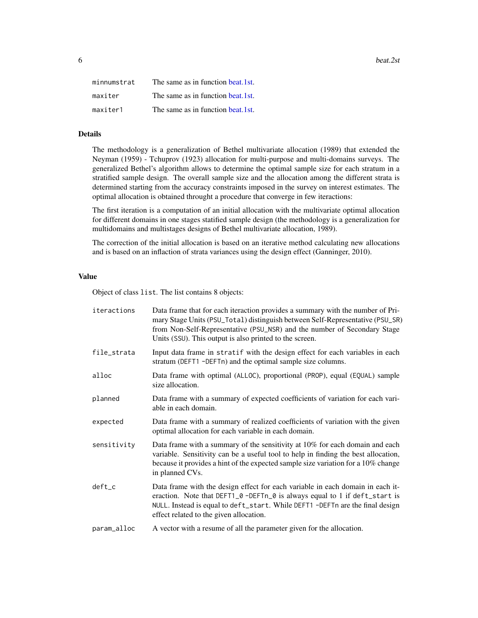<span id="page-5-0"></span>

| minnumstrat | The same as in function beat. 1st. |
|-------------|------------------------------------|
| maxiter     | The same as in function beat.1st.  |
| maxiter1    | The same as in function beat.1st.  |

## Details

The methodology is a generalization of Bethel multivariate allocation (1989) that extended the Neyman (1959) - Tchuprov (1923) allocation for multi-purpose and multi-domains surveys. The generalized Bethel's algorithm allows to determine the optimal sample size for each stratum in a stratified sample design. The overall sample size and the allocation among the different strata is determined starting from the accuracy constraints imposed in the survey on interest estimates. The optimal allocation is obtained throught a procedure that converge in few iteractions:

The first iteration is a computation of an initial allocation with the multivariate optimal allocation for different domains in one stages statified sample design (the methodology is a generalization for multidomains and multistages designs of Bethel multivariate allocation, 1989).

The correction of the initial allocation is based on an iterative method calculating new allocations and is based on an inflaction of strata variances using the design effect (Ganninger, 2010).

#### Value

Object of class list. The list contains 8 objects:

| iteractions | Data frame that for each iteraction provides a summary with the number of Pri-<br>mary Stage Units (PSU_Total) distinguish between Self-Representative (PSU_SR)<br>from Non-Self-Representative (PSU_NSR) and the number of Secondary Stage<br>Units (SSU). This output is also printed to the screen. |
|-------------|--------------------------------------------------------------------------------------------------------------------------------------------------------------------------------------------------------------------------------------------------------------------------------------------------------|
| file_strata | Input data frame in stratif with the design effect for each variables in each<br>stratum (DEFT1 -DEFTn) and the optimal sample size columns.                                                                                                                                                           |
| alloc       | Data frame with optimal (ALLOC), proportional (PROP), equal (EQUAL) sample<br>size allocation.                                                                                                                                                                                                         |
| planned     | Data frame with a summary of expected coefficients of variation for each vari-<br>able in each domain.                                                                                                                                                                                                 |
| expected    | Data frame with a summary of realized coefficients of variation with the given<br>optimal allocation for each variable in each domain.                                                                                                                                                                 |
| sensitivity | Data frame with a summary of the sensitivity at 10% for each domain and each<br>variable. Sensitivity can be a useful tool to help in finding the best allocation,<br>because it provides a hint of the expected sample size variation for a 10% change<br>in planned CVs.                             |
| deft_c      | Data frame with the design effect for each variable in each domain in each it-<br>eraction. Note that DEFT1_0 -DEFTn_0 is always equal to 1 if deft_start is<br>NULL. Instead is equal to deft_start. While DEFT1 -DEFTn are the final design<br>effect related to the given allocation.               |
| param alloc | A vector with a resume of all the parameter given for the allocation                                                                                                                                                                                                                                   |

#### param\_alloc A vector with a resume of all the parameter given for the allocation.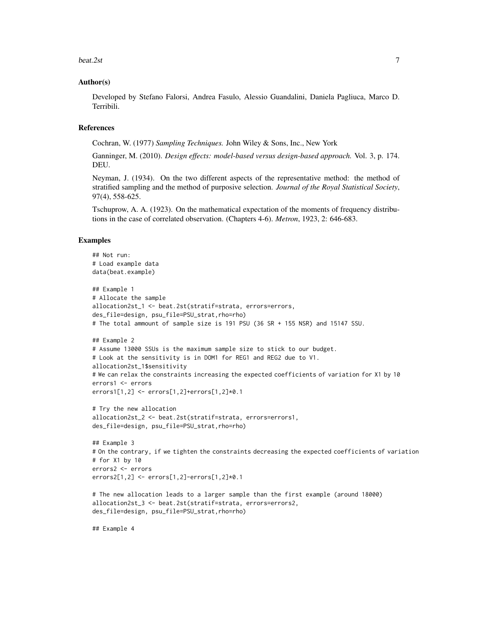beat.2st 7

#### Author(s)

Developed by Stefano Falorsi, Andrea Fasulo, Alessio Guandalini, Daniela Pagliuca, Marco D. Terribili.

## References

Cochran, W. (1977) *Sampling Techniques.* John Wiley & Sons, Inc., New York

Ganninger, M. (2010). *Design effects: model-based versus design-based approach.* Vol. 3, p. 174. DEU.

Neyman, J. (1934). On the two different aspects of the representative method: the method of stratified sampling and the method of purposive selection. *Journal of the Royal Statistical Society*, 97(4), 558-625.

Tschuprow, A. A. (1923). On the mathematical expectation of the moments of frequency distributions in the case of correlated observation. (Chapters 4-6). *Metron*, 1923, 2: 646-683.

#### Examples

```
## Not run:
# Load example data
data(beat.example)
## Example 1
# Allocate the sample
allocation2st_1 <- beat.2st(stratif=strata, errors=errors,
des_file=design, psu_file=PSU_strat,rho=rho)
# The total ammount of sample size is 191 PSU (36 SR + 155 NSR) and 15147 SSU.
## Example 2
# Assume 13000 SSUs is the maximum sample size to stick to our budget.
# Look at the sensitivity is in DOM1 for REG1 and REG2 due to V1.
allocation2st_1$sensitivity
# We can relax the constraints increasing the expected coefficients of variation for X1 by 10
errors1 <- errors
errors1[1,2] <- errors[1,2]+errors[1,2]*0.1
# Try the new allocation
allocation2st_2 <- beat.2st(stratif=strata, errors=errors1,
des_file=design, psu_file=PSU_strat,rho=rho)
## Example 3
# On the contrary, if we tighten the constraints decreasing the expected coefficients of variation
# for X1 by 10
errors2 <- errors
errors2[1,2] <- errors[1,2]-errors[1,2]*0.1
# The new allocation leads to a larger sample than the first example (around 18000)
allocation2st_3 <- beat.2st(stratif=strata, errors=errors2,
des_file=design, psu_file=PSU_strat,rho=rho)
```
## Example 4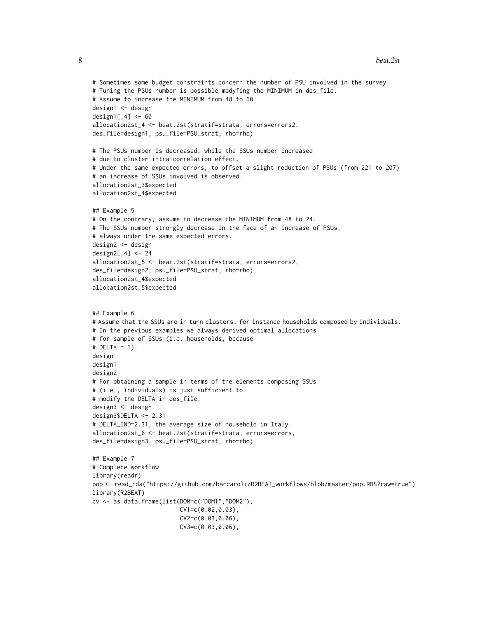```
# Sometimes some budget constraints concern the number of PSU involved in the survey.
# Tuning the PSUs number is possible modyfing the MINIMUM in des_file.
# Assume to increase the MINIMUM from 48 to 60
design1 <- design
design1[,4] <- 60
allocation2st_4 <- beat.2st(stratif=strata, errors=errors2,
des_file=design1, psu_file=PSU_strat, rho=rho)
# The PSUs number is decreased, while the SSUs number increased
# due to cluster intra-correlation effect.
# Under the same expected errors, to offset a slight reduction of PSUs (from 221 to 207)
# an increase of SSUs involved is observed.
allocation2st_3$expected
allocation2st_4$expected
## Example 5
# On the contrary, assume to decrease the MINIMUM from 48 to 24.
# The SSUs number strongly decrease in the face of an increase of PSUs,
# always under the same expected errors.
design2 <- design
design2[,4] <- 24
allocation2st_5 <- beat.2st(stratif=strata, errors=errors2,
des_file=design2, psu_file=PSU_strat, rho=rho)
allocation2st_4$expected
allocation2st_5$expected
## Example 6
# Assume that the SSUs are in turn clusters, for instance households composed by individuals.
# In the previous examples we always derived optimal allocations
# for sample of SSUs (i.e. households, because
# DELTA = 1).
design
design1
design2
# For obtaining a sample in terms of the elements composing SSUs
# (i.e., individuals) is just sufficient to
# modify the DELTA in des_file.
design3 <- design
design3$DELTA <- 2.31
# DELTA_IND=2.31, the average size of household in Italy.
allocation2st_6 <- beat.2st(stratif=strata, errors=errors,
des_file=design3, psu_file=PSU_strat, rho=rho)
## Example 7
# Complete workflow
library(readr)
pop <- read_rds("https://github.com/barcaroli/R2BEAT_workflows/blob/master/pop.RDS?raw=true")
library(R2BEAT)
cv <- as.data.frame(list(DOM=c("DOM1","DOM2"),
                         CV1=c(0.02,0.03),
                         CV2=c(0.03,0.06),
                         CV3=c(0.03,0.06),
```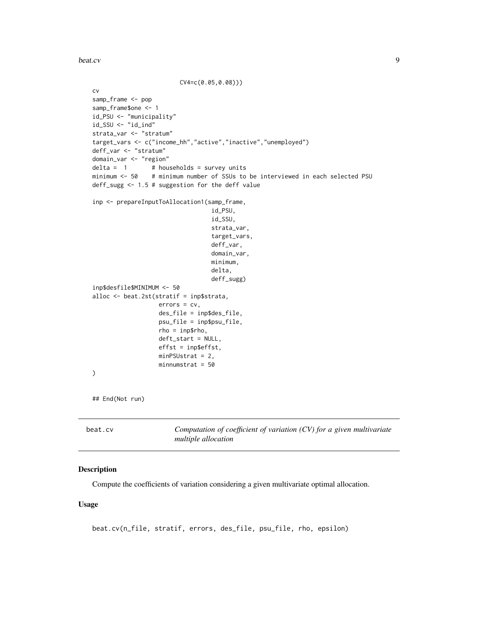<span id="page-8-0"></span>beat.cv 9

```
CV4=c(0.05,0.08)))
cv
samp_frame <- pop
samp_frame$one <- 1
id_PSU <- "municipality"
id_SSU <- "id_ind"
strata_var <- "stratum"
target_vars <- c("income_hh","active","inactive","unemployed")
deff_var <- "stratum"
domain_var <- "region"
delta = 1 # households = survey units
minimum <- 50 # minimum number of SSUs to be interviewed in each selected PSU
deff_sugg <- 1.5 # suggestion for the deff value
inp <- prepareInputToAllocation1(samp_frame,
                                   id_PSU,
                                   id_SSU,
                                   strata_var,
                                   target_vars,
                                  deff_var,
                                   domain_var,
                                  minimum,
                                  delta,
                                  deff_sugg)
inp$desfile$MINIMUM <- 50
alloc <- beat.2st(stratif = inp$strata,
                   errors = cv,
                   des_file = inp$des_file,
                   psu_file = inp$psu_file,
                   rho = inp$rho,
                   deft_start = NULL,
                   effst = inp$effst,
                   minPSUstrat = 2,
                   minnumstrat = 50
\mathcal{L}## End(Not run)
```
beat.cv *Computation of coefficient of variation (CV) for a given multivariate multiple allocation*

#### Description

Compute the coefficients of variation considering a given multivariate optimal allocation.

#### Usage

beat.cv(n\_file, stratif, errors, des\_file, psu\_file, rho, epsilon)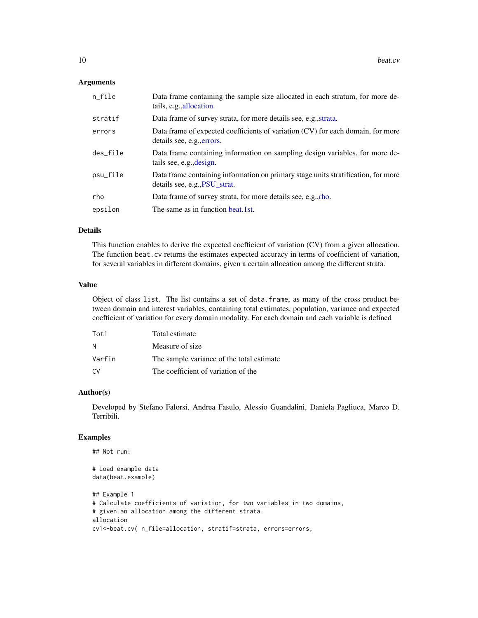#### <span id="page-9-0"></span>**Arguments**

| $n$ _file | Data frame containing the sample size allocated in each stratum, for more de-<br>tails, e.g., allocation.          |
|-----------|--------------------------------------------------------------------------------------------------------------------|
| stratif   | Data frame of survey strata, for more details see, e.g., strata.                                                   |
| errors    | Data frame of expected coefficients of variation (CV) for each domain, for more<br>details see, e.g., errors.      |
| des_file  | Data frame containing information on sampling design variables, for more de-<br>tails see, e.g., design.           |
| psu_file  | Data frame containing information on primary stage units stratification, for more<br>details see, e.g., PSU_strat. |
| rho       | Data frame of survey strata, for more details see, e.g., rho.                                                      |
| epsilon   | The same as in function beat.1st.                                                                                  |

#### Details

This function enables to derive the expected coefficient of variation (CV) from a given allocation. The function beat.cv returns the estimates expected accuracy in terms of coefficient of variation, for several variables in different domains, given a certain allocation among the different strata.

#### Value

Object of class list. The list contains a set of data.frame, as many of the cross product between domain and interest variables, containing total estimates, population, variance and expected coefficient of variation for every domain modality. For each domain and each variable is defined

| Tot1   | Total estimate                            |
|--------|-------------------------------------------|
| N      | Measure of size.                          |
| Varfin | The sample variance of the total estimate |
| ۲.۷    | The coefficient of variation of the       |

#### Author(s)

Developed by Stefano Falorsi, Andrea Fasulo, Alessio Guandalini, Daniela Pagliuca, Marco D. Terribili.

```
## Not run:
# Load example data
data(beat.example)
## Example 1
# Calculate coefficients of variation, for two variables in two domains,
# given an allocation among the different strata.
allocation
cv1<-beat.cv( n_file=allocation, stratif=strata, errors=errors,
```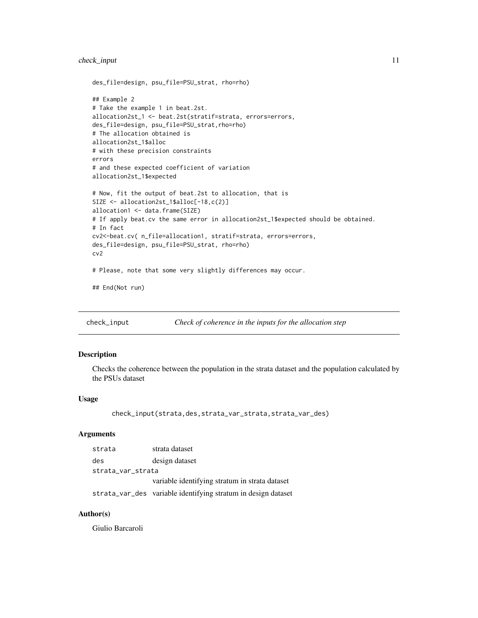## <span id="page-10-0"></span>check\_input 11

```
des_file=design, psu_file=PSU_strat, rho=rho)
## Example 2
# Take the example 1 in beat.2st.
allocation2st_1 <- beat.2st(stratif=strata, errors=errors,
des_file=design, psu_file=PSU_strat,rho=rho)
# The allocation obtained is
allocation2st_1$alloc
# with these precision constraints
errors
# and these expected coefficient of variation
allocation2st_1$expected
# Now, fit the output of beat.2st to allocation, that is
SIZE <- allocation2st_1$alloc[-18,c(2)]
allocation1 <- data.frame(SIZE)
# If apply beat.cv the same error in allocation2st_1$expected should be obtained.
# In fact
cv2<-beat.cv( n_file=allocation1, stratif=strata, errors=errors,
des_file=design, psu_file=PSU_strat, rho=rho)
cv2
# Please, note that some very slightly differences may occur.
## End(Not run)
```
check\_input *Check of coherence in the inputs for the allocation step*

#### Description

Checks the coherence between the population in the strata dataset and the population calculated by the PSUs dataset

## Usage

```
check_input(strata,des,strata_var_strata,strata_var_des)
```
## Arguments

| strata            | strata dataset                                                |  |  |  |  |  |
|-------------------|---------------------------------------------------------------|--|--|--|--|--|
| des               | design dataset                                                |  |  |  |  |  |
| strata_var_strata |                                                               |  |  |  |  |  |
|                   | variable identifying stratum in strata dataset                |  |  |  |  |  |
|                   | strata_var_des variable identifying stratum in design dataset |  |  |  |  |  |

## Author(s)

Giulio Barcaroli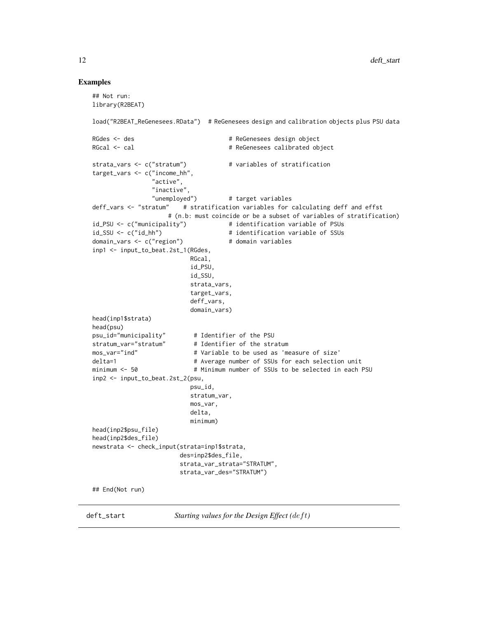#### <span id="page-11-0"></span>Examples

```
## Not run:
library(R2BEAT)
load("R2BEAT_ReGenesees.RData") # ReGenesees design and calibration objects plus PSU data
RGdes <- des # ReGenesees design object
RGcal <- cal \# ReGenesees calibrated object
strata_vars <- c("stratum") # variables of stratification
target_vars <- c("income_hh",
               "active",
               "inactive",
               "unemployed") # target variables
deff_vars <- "stratum" # stratification variables for calculating deff and effst
# (n.b: must coincide or be a subset of variables of stratification)
                                  # identification variable of PSUs
id_SSU <- c("id_hh") # identification variable of SSUs
domain_vars <- c("region") # domain variables
inp1 <- input_to_beat.2st_1(RGdes,
                         RGcal,
                         id_PSU,
                         id_SSU,
                         strata_vars,
                         target_vars,
                         deff_vars,
                         domain_vars)
head(inp1$strata)
head(psu)
psu_id="municipality" # Identifier of the PSU
stratum_var="stratum" # Identifier of the stratum
mos_var="ind" # Variable to be used as 'measure of size'
delta=1 \# Average number of SSUs for each selection unit
minimum <- 50 \qquad # Minimum number of SSUs to be selected in each PSU
inp2 <- input_to_beat.2st_2(psu,
                         psu_id,
                         stratum_var,
                         mos_var,
                         delta,
                         minimum)
head(inp2$psu_file)
head(inp2$des_file)
newstrata <- check_input(strata=inp1$strata,
                      des=inp2$des_file,
                      strata_var_strata="STRATUM",
                      strata_var_des="STRATUM")
## End(Not run)
```
<span id="page-11-1"></span>deft\_start *Starting values for the Design Effect (deft)*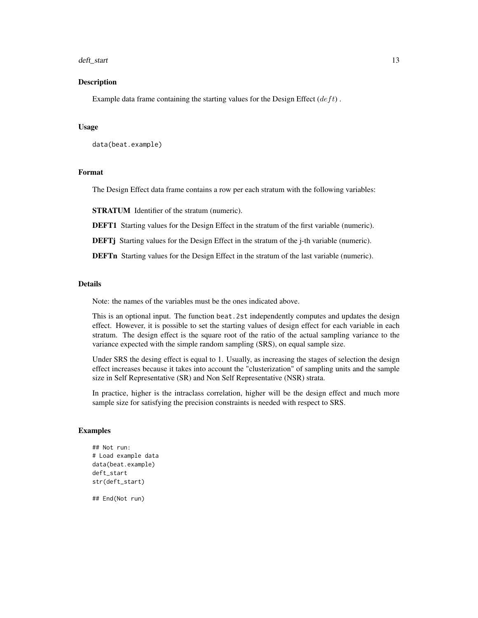#### deft\_start 13

#### Description

Example data frame containing the starting values for the Design Effect  $(deft)$ .

#### Usage

```
data(beat.example)
```
## Format

The Design Effect data frame contains a row per each stratum with the following variables:

STRATUM Identifier of the stratum (numeric).

DEFT1 Starting values for the Design Effect in the stratum of the first variable (numeric).

DEFTj Starting values for the Design Effect in the stratum of the j-th variable (numeric).

DEFTn Starting values for the Design Effect in the stratum of the last variable (numeric).

#### Details

Note: the names of the variables must be the ones indicated above.

This is an optional input. The function beat.2st independently computes and updates the design effect. However, it is possible to set the starting values of design effect for each variable in each stratum. The design effect is the square root of the ratio of the actual sampling variance to the variance expected with the simple random sampling (SRS), on equal sample size.

Under SRS the desing effect is equal to 1. Usually, as increasing the stages of selection the design effect increases because it takes into account the "clusterization" of sampling units and the sample size in Self Representative (SR) and Non Self Representative (NSR) strata.

In practice, higher is the intraclass correlation, higher will be the design effect and much more sample size for satisfying the precision constraints is needed with respect to SRS.

#### Examples

```
## Not run:
# Load example data
data(beat.example)
deft_start
str(deft_start)
```
## End(Not run)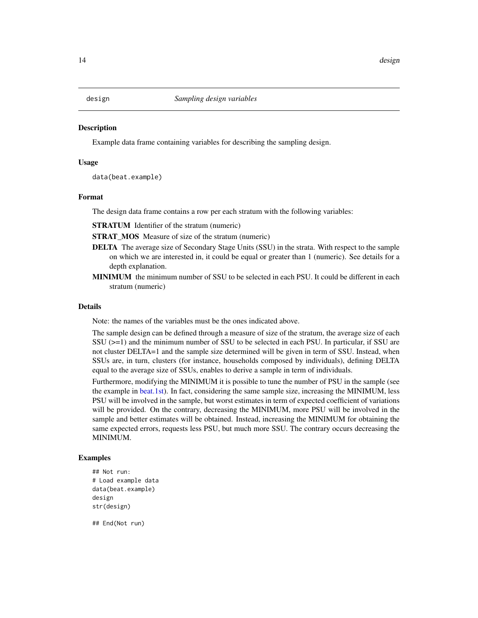<span id="page-13-1"></span><span id="page-13-0"></span>

## Description

Example data frame containing variables for describing the sampling design.

#### Usage

data(beat.example)

#### Format

The design data frame contains a row per each stratum with the following variables:

STRATUM Identifier of the stratum (numeric)

STRAT\_MOS Measure of size of the stratum (numeric)

- DELTA The average size of Secondary Stage Units (SSU) in the strata. With respect to the sample on which we are interested in, it could be equal or greater than 1 (numeric). See details for a depth explanation.
- MINIMUM the minimum number of SSU to be selected in each PSU. It could be different in each stratum (numeric)

#### Details

Note: the names of the variables must be the ones indicated above.

The sample design can be defined through a measure of size of the stratum, the average size of each SSU (>=1) and the minimum number of SSU to be selected in each PSU. In particular, if SSU are not cluster DELTA=1 and the sample size determined will be given in term of SSU. Instead, when SSUs are, in turn, clusters (for instance, households composed by individuals), defining DELTA equal to the average size of SSUs, enables to derive a sample in term of individuals.

Furthermore, modifying the MINIMUM it is possible to tune the number of PSU in the sample (see the example in [beat.1st\)](#page-2-1). In fact, considering the same sample size, increasing the MINIMUM, less PSU will be involved in the sample, but worst estimates in term of expected coefficient of variations will be provided. On the contrary, decreasing the MINIMUM, more PSU will be involved in the sample and better estimates will be obtained. Instead, increasing the MINIMUM for obtaining the same expected errors, requests less PSU, but much more SSU. The contrary occurs decreasing the MINIMUM.

#### Examples

```
## Not run:
# Load example data
data(beat.example)
design
str(design)
```
## End(Not run)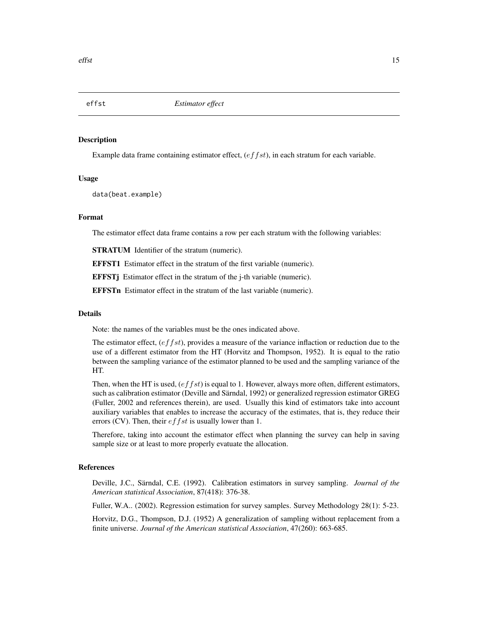<span id="page-14-1"></span><span id="page-14-0"></span>

#### **Description**

Example data frame containing estimator effect,  $(effst)$ , in each stratum for each variable.

#### Usage

data(beat.example)

#### Format

The estimator effect data frame contains a row per each stratum with the following variables:

STRATUM Identifier of the stratum (numeric).

EFFST1 Estimator effect in the stratum of the first variable (numeric).

**EFFSTj** Estimator effect in the stratum of the j-th variable (numeric).

EFFSTn Estimator effect in the stratum of the last variable (numeric).

#### Details

Note: the names of the variables must be the ones indicated above.

The estimator effect,  $(effst)$ , provides a measure of the variance inflaction or reduction due to the use of a different estimator from the HT (Horvitz and Thompson, 1952). It is equal to the ratio between the sampling variance of the estimator planned to be used and the sampling variance of the HT.

Then, when the HT is used,  $(effst)$  is equal to 1. However, always more often, different estimators, such as calibration estimator (Deville and Särndal, 1992) or generalized regression estimator GREG (Fuller, 2002 and references therein), are used. Usually this kind of estimators take into account auxiliary variables that enables to increase the accuracy of the estimates, that is, they reduce their errors (CV). Then, their  $effst$  is usually lower than 1.

Therefore, taking into account the estimator effect when planning the survey can help in saving sample size or at least to more properly evatuate the allocation.

#### References

Deville, J.C., Särndal, C.E. (1992). Calibration estimators in survey sampling. *Journal of the American statistical Association*, 87(418): 376-38.

Fuller, W.A.. (2002). Regression estimation for survey samples. Survey Methodology 28(1): 5-23.

Horvitz, D.G., Thompson, D.J. (1952) A generalization of sampling without replacement from a finite universe. *Journal of the American statistical Association*, 47(260): 663-685.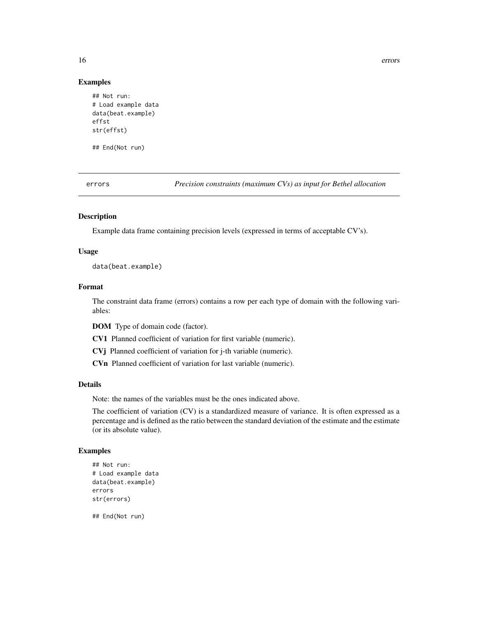16 errors

#### Examples

```
## Not run:
# Load example data
data(beat.example)
effst
str(effst)
```
## End(Not run)

<span id="page-15-1"></span>errors *Precision constraints (maximum CVs) as input for Bethel allocation*

#### Description

Example data frame containing precision levels (expressed in terms of acceptable CV's).

#### Usage

data(beat.example)

## Format

The constraint data frame (errors) contains a row per each type of domain with the following variables:

DOM Type of domain code (factor).

CV1 Planned coefficient of variation for first variable (numeric).

CVj Planned coefficient of variation for j-th variable (numeric).

CVn Planned coefficient of variation for last variable (numeric).

## Details

Note: the names of the variables must be the ones indicated above.

The coefficient of variation (CV) is a standardized measure of variance. It is often expressed as a percentage and is defined as the ratio between the standard deviation of the estimate and the estimate (or its absolute value).

## Examples

```
## Not run:
# Load example data
data(beat.example)
errors
str(errors)
```
## End(Not run)

<span id="page-15-0"></span>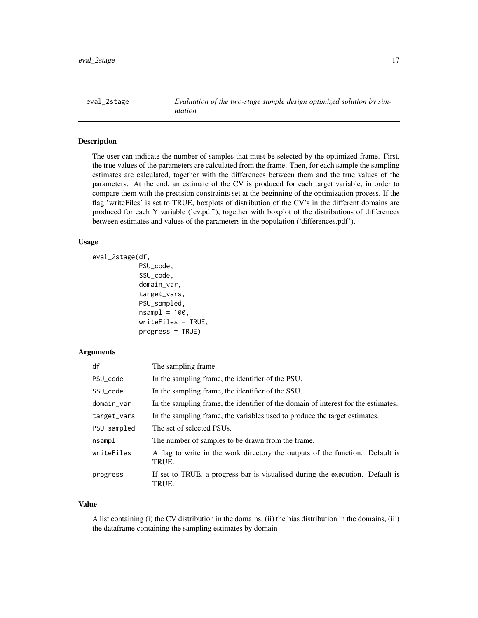<span id="page-16-0"></span>eval\_2stage *Evaluation of the two-stage sample design optimized solution by simulation*

## **Description**

The user can indicate the number of samples that must be selected by the optimized frame. First, the true values of the parameters are calculated from the frame. Then, for each sample the sampling estimates are calculated, together with the differences between them and the true values of the parameters. At the end, an estimate of the CV is produced for each target variable, in order to compare them with the precision constraints set at the beginning of the optimization process. If the flag 'writeFiles' is set to TRUE, boxplots of distribution of the CV's in the different domains are produced for each Y variable ('cv.pdf'), together with boxplot of the distributions of differences between estimates and values of the parameters in the population ('differences.pdf').

#### Usage

```
eval_2stage(df,
            PSU_code,
```

```
SSU_code,
domain_var,
target_vars,
PSU_sampled,
nsampl = 100,
writeFiles = TRUE,
progress = TRUE)
```
## Arguments

| df          | The sampling frame.                                                                    |
|-------------|----------------------------------------------------------------------------------------|
| PSU_code    | In the sampling frame, the identifier of the PSU.                                      |
| SSU_code    | In the sampling frame, the identifier of the SSU.                                      |
| domain_var  | In the sampling frame, the identifier of the domain of interest for the estimates.     |
| target_vars | In the sampling frame, the variables used to produce the target estimates.             |
| PSU_sampled | The set of selected PSUs.                                                              |
| nsamp1      | The number of samples to be drawn from the frame.                                      |
| writeFiles  | A flag to write in the work directory the outputs of the function. Default is<br>TRUE. |
| progress    | If set to TRUE, a progress bar is visualised during the execution. Default is<br>TRUE. |

#### Value

A list containing (i) the CV distribution in the domains, (ii) the bias distribution in the domains, (iii) the dataframe containing the sampling estimates by domain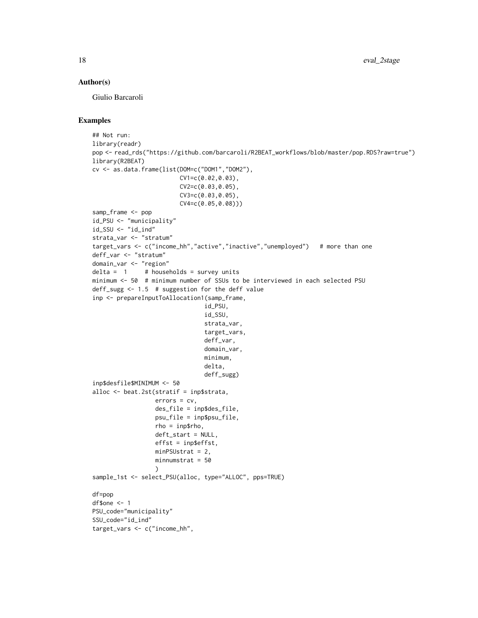#### Author(s)

Giulio Barcaroli

```
## Not run:
library(readr)
pop <- read_rds("https://github.com/barcaroli/R2BEAT_workflows/blob/master/pop.RDS?raw=true")
library(R2BEAT)
cv <- as.data.frame(list(DOM=c("DOM1","DOM2"),
                         CV1=c(0.02,0.03),
                         CV2=c(0.03,0.05),
                         CV3=c(0.03,0.05),
                         CV4=c(0.05,0.08)))
samp_frame <- pop
id_PSU <- "municipality"
id_SSU <- "id_ind"
strata_var <- "stratum"
target_vars <- c("income_hh","active","inactive","unemployed") # more than one
deff_var <- "stratum"
domain_var <- "region"
delta = 1 # households = survey units
minimum <- 50 # minimum number of SSUs to be interviewed in each selected PSU
deff_sugg <- 1.5 # suggestion for the deff value
inp <- prepareInputToAllocation1(samp_frame,
                                id_PSU,
                                id_SSU,
                                strata_var,
                                target_vars,
                                deff_var,
                                domain_var,
                                minimum,
                                delta,
                                deff_sugg)
inp$desfile$MINIMUM <- 50
alloc <- beat.2st(stratif = inp$strata,
                  errors = cv,
                  des_file = inp$des_file,
                  psu_file = inp$psu_file,
                  rho = inp$rho,
                  deft_start = NULL,
                  effst = inp$effst,
                  minPSUstrat = 2,
                  minnumstrat = 50
                  )
sample_1st <- select_PSU(alloc, type="ALLOC", pps=TRUE)
df=pop
df$one <-1PSU_code="municipality"
SSU_code="id_ind"
target_vars <- c("income_hh",
```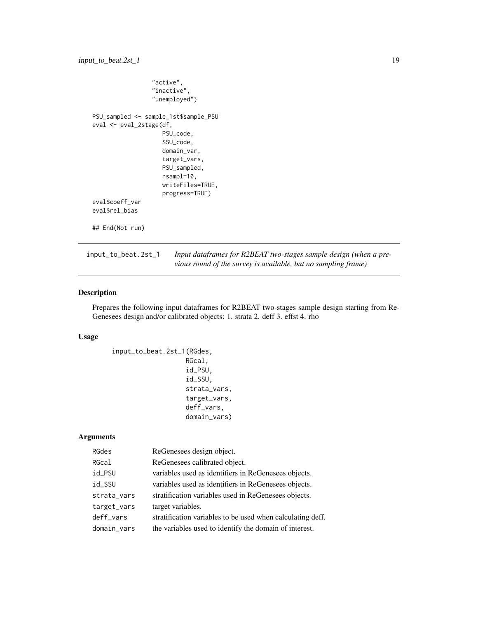```
"active",
                 "inactive",
                 "unemployed")
PSU_sampled <- sample_1st$sample_PSU
eval <- eval_2stage(df,
                    PSU_code,
                    SSU_code,
                    domain_var,
                    target_vars,
                    PSU_sampled,
                    nsampl=10,
                    writeFiles=TRUE,
                    progress=TRUE)
eval$coeff_var
eval$rel_bias
## End(Not run)
```
input\_to\_beat.2st\_1 *Input dataframes for R2BEAT two-stages sample design (when a previous round of the survey is available, but no sampling frame)*

#### Description

Prepares the following input dataframes for R2BEAT two-stages sample design starting from Re-Genesees design and/or calibrated objects: 1. strata 2. deff 3. effst 4. rho

## Usage

```
input_to_beat.2st_1(RGdes,
                   RGcal,
                   id_PSU,
                   id_SSU,
                   strata_vars,
                   target_vars,
                   deff_vars,
                   domain_vars)
```
## Arguments

| RGdes       | ReGenesees design object.                                  |
|-------------|------------------------------------------------------------|
| RGcal       | ReGenesees calibrated object.                              |
| id_PSU      | variables used as identifiers in ReGenesees objects.       |
| id_SSU      | variables used as identifiers in ReGenesees objects.       |
| strata_vars | stratification variables used in ReGenesees objects.       |
| target_vars | target variables.                                          |
| deff_vars   | stratification variables to be used when calculating deff. |
| domain_vars | the variables used to identify the domain of interest.     |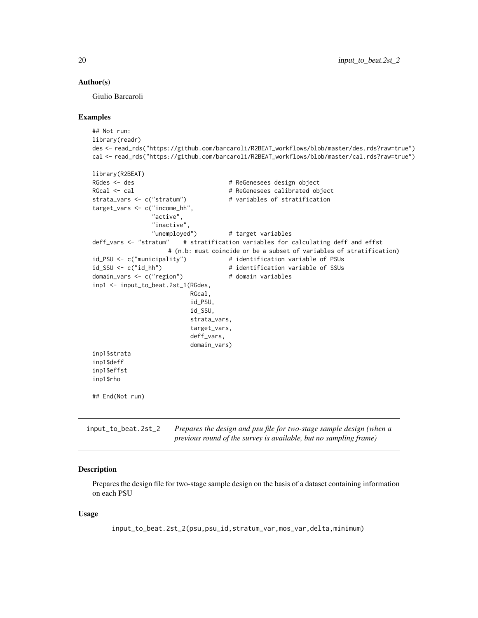#### <span id="page-19-0"></span>Author(s)

Giulio Barcaroli

#### Examples

```
## Not run:
library(readr)
des <- read_rds("https://github.com/barcaroli/R2BEAT_workflows/blob/master/des.rds?raw=true")
cal <- read_rds("https://github.com/barcaroli/R2BEAT_workflows/blob/master/cal.rds?raw=true")
library(R2BEAT)
RGdes <- des # ReGenesees design object
RGcal <- cal \# ReGenesees calibrated object
strata_vars <- c("stratum") # variables of stratification
target_vars <- c("income_hh",
                "active",
                "inactive",
                "unemployed") # target variables
deff_vars <- "stratum" # stratification variables for calculating deff and effst
                    # (n.b: must coincide or be a subset of variables of stratification)
id_PSU <- c("municipality") # identification variable of PSUs
id_SSU <- c("id_hh") \qquad \qquad \qquad # identification variable of SSUsdomain_vars <- c("region") # domain variables
inp1 <- input_to_beat.2st_1(RGdes,
                          RGcal,
                          id_PSU,
                          id_SSU,
                          strata_vars,
                          target_vars,
                          deff_vars,
                          domain_vars)
inp1$strata
inp1$deff
inp1$effst
inp1$rho
## End(Not run)
```
input\_to\_beat.2st\_2 *Prepares the design and psu file for two-stage sample design (when a previous round of the survey is available, but no sampling frame)*

#### **Description**

Prepares the design file for two-stage sample design on the basis of a dataset containing information on each PSU

#### Usage

input\_to\_beat.2st\_2(psu,psu\_id,stratum\_var,mos\_var,delta,minimum)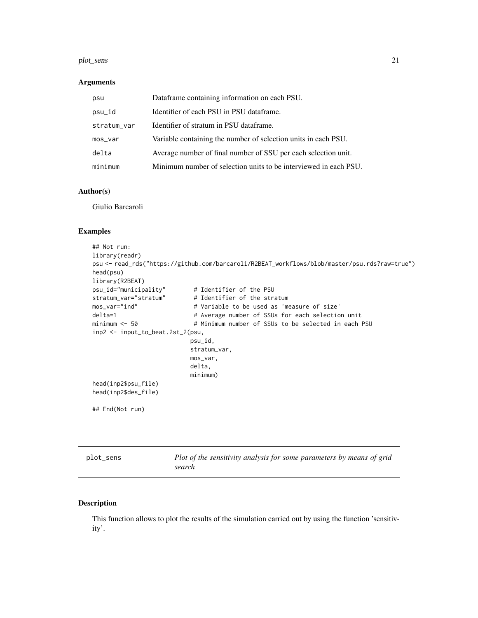#### <span id="page-20-0"></span>plot\_sens 21

#### Arguments

| psu         | Dataframe containing information on each PSU.                    |  |
|-------------|------------------------------------------------------------------|--|
| psu_id      | Identifier of each PSU in PSU dataframe.                         |  |
| stratum_var | Identifier of stratum in PSU dataframe.                          |  |
| $mos_Var$   | Variable containing the number of selection units in each PSU.   |  |
| delta       | Average number of final number of SSU per each selection unit.   |  |
| minimum     | Minimum number of selection units to be interviewed in each PSU. |  |

#### Author(s)

Giulio Barcaroli

## Examples

```
## Not run:
library(readr)
psu <- read_rds("https://github.com/barcaroli/R2BEAT_workflows/blob/master/psu.rds?raw=true")
head(psu)
library(R2BEAT)
psu_id="municipality" # Identifier of the PSU
stratum_var="stratum" # Identifier of the stratum
mos_var="ind" # Variable to be used as 'measure of size'
delta=1 \qquad # Average number of SSUs for each selection unit
minimum <- 50 \qquad # Minimum number of SSUs to be selected in each PSU
inp2 <- input_to_beat.2st_2(psu,
                          psu_id,
                          stratum_var,
                          mos_var,
                          delta,
                          minimum)
head(inp2$psu_file)
head(inp2$des_file)
## End(Not run)
```
plot\_sens *Plot of the sensitivity analysis for some parameters by means of grid search*

#### Description

This function allows to plot the results of the simulation carried out by using the function 'sensitivity'.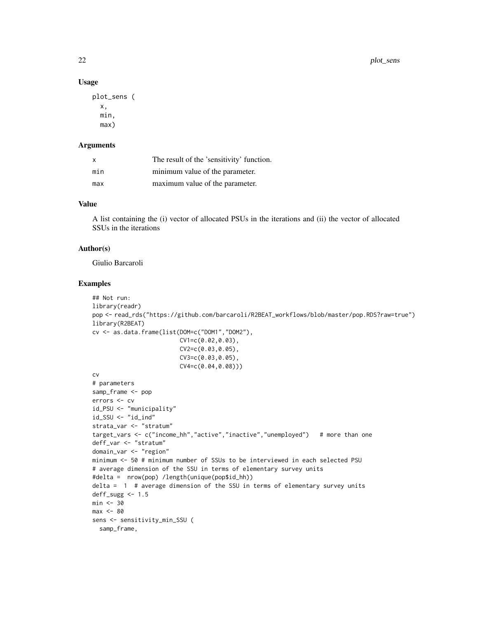#### Usage

```
plot_sens (
  x,
  min,
  max)
```
#### Arguments

| x   | The result of the 'sensitivity' function. |  |
|-----|-------------------------------------------|--|
| min | minimum value of the parameter.           |  |
| max | maximum value of the parameter.           |  |

#### Value

A list containing the (i) vector of allocated PSUs in the iterations and (ii) the vector of allocated SSUs in the iterations

#### Author(s)

Giulio Barcaroli

```
## Not run:
library(readr)
pop <- read_rds("https://github.com/barcaroli/R2BEAT_workflows/blob/master/pop.RDS?raw=true")
library(R2BEAT)
cv <- as.data.frame(list(DOM=c("DOM1","DOM2"),
                        CV1=c(0.02,0.03),
                        CV2=c(0.03,0.05),
                        CV3=c(0.03,0.05),
                        CV4=c(0.04,0.08)))
cv
# parameters
samp_frame <- pop
errors <- cv
id_PSU <- "municipality"
id_SSU <- "id_ind"
strata_var <- "stratum"
target_vars <- c("income_hh","active","inactive","unemployed") # more than one
deff_var <- "stratum"
domain_var <- "region"
minimum <- 50 # minimum number of SSUs to be interviewed in each selected PSU
# average dimension of the SSU in terms of elementary survey units
#delta = nrow(pop) /length(unique(pop$id_hh))
delta = 1 # average dimension of the SSU in terms of elementary survey units
deff_sugg < -1.5min < -30max < -80sens <- sensitivity_min_SSU (
  samp_frame,
```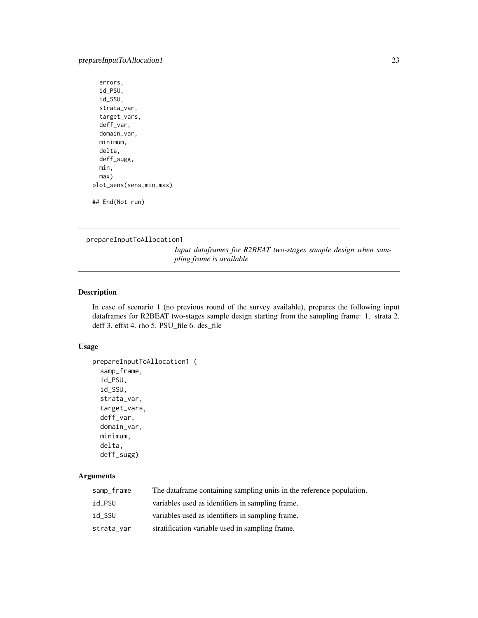## <span id="page-22-0"></span>prepareInputToAllocation1 23

```
errors,
 id_PSU,
 id_SSU,
 strata_var,
 target_vars,
 deff_var,
 domain_var,
 minimum,
 delta,
 deff_sugg,
 min,
 max)
plot_sens(sens,min,max)
```
## End(Not run)

prepareInputToAllocation1

*Input dataframes for R2BEAT two-stages sample design when sampling frame is available*

#### Description

In case of scenario 1 (no previous round of the survey available), prepares the following input dataframes for R2BEAT two-stages sample design starting from the sampling frame: 1. strata 2. deff 3. effst 4. rho 5. PSU\_file 6. des\_file

## Usage

```
prepareInputToAllocation1 (
  samp_frame,
  id_PSU,
  id_SSU,
  strata_var,
  target_vars,
  deff_var,
 domain_var,
 minimum,
 delta,
 deff_sugg)
```
## Arguments

| samp_frame | The dataframe containing sampling units in the reference population. |
|------------|----------------------------------------------------------------------|
| id PSU     | variables used as identifiers in sampling frame.                     |
| id SSU     | variables used as identifiers in sampling frame.                     |
| strata_var | stratification variable used in sampling frame.                      |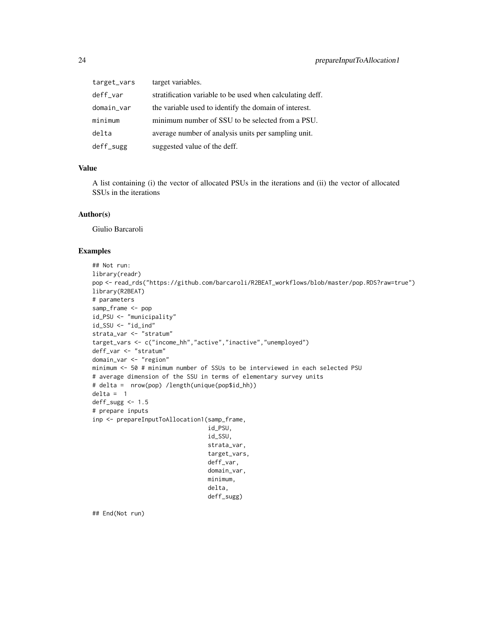| target_vars | target variables.                                         |  |
|-------------|-----------------------------------------------------------|--|
| deff_var    | stratification variable to be used when calculating deff. |  |
| domain_var  | the variable used to identify the domain of interest.     |  |
| minimum     | minimum number of SSU to be selected from a PSU.          |  |
| delta       | average number of analysis units per sampling unit.       |  |
| deff_sugg   | suggested value of the deff.                              |  |

## Value

A list containing (i) the vector of allocated PSUs in the iterations and (ii) the vector of allocated SSUs in the iterations

#### Author(s)

Giulio Barcaroli

#### Examples

```
## Not run:
library(readr)
pop <- read_rds("https://github.com/barcaroli/R2BEAT_workflows/blob/master/pop.RDS?raw=true")
library(R2BEAT)
# parameters
samp_frame <- pop
id_PSU <- "municipality"
id_SSU <- "id_ind"
strata_var <- "stratum"
target_vars <- c("income_hh","active","inactive","unemployed")
deff_var <- "stratum"
domain_var <- "region"
minimum <- 50 # minimum number of SSUs to be interviewed in each selected PSU
# average dimension of the SSU in terms of elementary survey units
# delta = nrow(pop) /length(unique(pop$id_hh))
delta = 1
deff_sugg <- 1.5
# prepare inputs
inp <- prepareInputToAllocation1(samp_frame,
                                 id_PSU,
                                 id_SSU,
                                 strata_var,
                                 target_vars,
                                 deff_var,
                                 domain_var,
                                 minimum,
                                 delta,
                                 deff_sugg)
```
## End(Not run)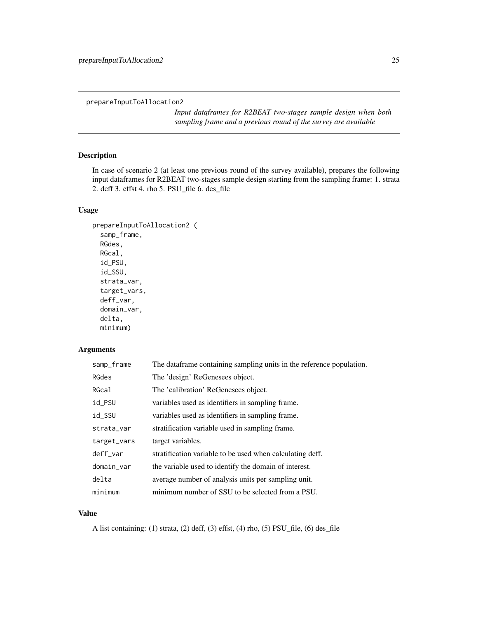<span id="page-24-0"></span>prepareInputToAllocation2

*Input dataframes for R2BEAT two-stages sample design when both sampling frame and a previous round of the survey are available*

## Description

In case of scenario 2 (at least one previous round of the survey available), prepares the following input dataframes for R2BEAT two-stages sample design starting from the sampling frame: 1. strata 2. deff 3. effst 4. rho 5. PSU\_file 6. des\_file

## Usage

```
prepareInputToAllocation2 (
  samp_frame,
  RGdes,
 RGcal,
  id_PSU,
  id_SSU,
  strata_var,
  target_vars,
  deff_var,
  domain_var,
  delta,
```
#### Arguments

minimum)

| samp_frame  | The dataframe containing sampling units in the reference population. |
|-------------|----------------------------------------------------------------------|
| RGdes       | The 'design' ReGenesees object.                                      |
| RGcal       | The 'calibration' ReGenesees object.                                 |
| id_PSU      | variables used as identifiers in sampling frame.                     |
| id_SSU      | variables used as identifiers in sampling frame.                     |
| strata_var  | stratification variable used in sampling frame.                      |
| target_vars | target variables.                                                    |
| deff_var    | stratification variable to be used when calculating deff.            |
| domain_var  | the variable used to identify the domain of interest.                |
| delta       | average number of analysis units per sampling unit.                  |
| minimum     | minimum number of SSU to be selected from a PSU.                     |

## Value

A list containing: (1) strata, (2) deff, (3) effst, (4) rho, (5) PSU\_file, (6) des\_file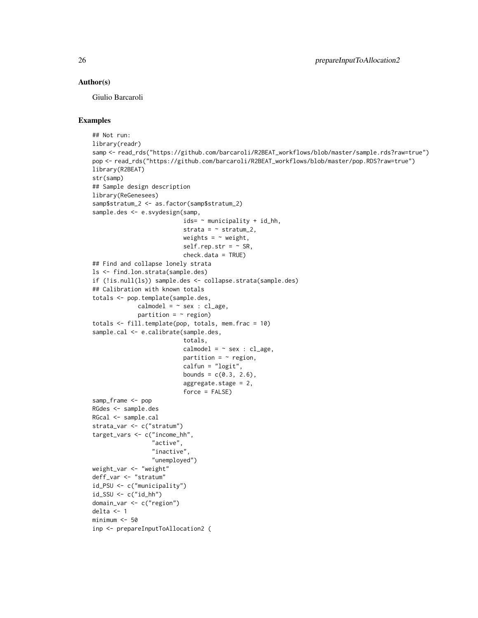#### Author(s)

Giulio Barcaroli

```
## Not run:
library(readr)
samp <- read_rds("https://github.com/barcaroli/R2BEAT_workflows/blob/master/sample.rds?raw=true")
pop <- read_rds("https://github.com/barcaroli/R2BEAT_workflows/blob/master/pop.RDS?raw=true")
library(R2BEAT)
str(samp)
## Sample design description
library(ReGenesees)
samp$stratum_2 <- as.factor(samp$stratum_2)
sample.des <- e.svydesign(samp,
                          ids= ~ municipality + id_hh,
                          strata = \sim stratum_2,
                          weights = \sim weight,
                          self.rep.str = ~\sim SR,
                          check.data = TRUE)
## Find and collapse lonely strata
ls <- find.lon.strata(sample.des)
if (!is.null(ls)) sample.des <- collapse.strata(sample.des)
## Calibration with known totals
totals <- pop.template(sample.des,
             cal = - sex : cl_age,
             partition = \sim region)
totals \le- fill.template(pop, totals, mem. frac = 10)
sample.cal <- e.calibrate(sample.des,
                          totals,
                          cal = - sex : cl_age,
                          partition = \sim region,
                          calfun = "logit",
                          bounds = c(0.3, 2.6),
                          aggregate.stage = 2,
                          force = FALSE)samp_frame <- pop
RGdes <- sample.des
RGcal <- sample.cal
strata_var <- c("stratum")
target_vars <- c("income_hh",
                 "active",
                 "inactive",
                 "unemployed")
weight_var <- "weight"
deff_var <- "stratum"
id_PSU <- c("municipality")
id_SSU <- c("id_hh")
domain_var <- c("region")
delta <- 1
minimum <- 50
inp <- prepareInputToAllocation2 (
```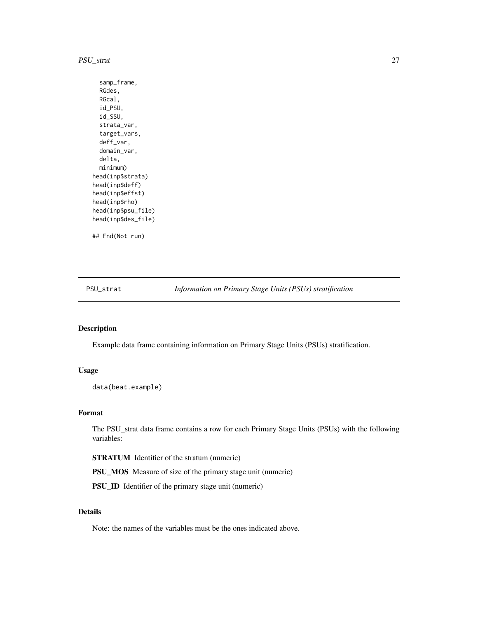#### <span id="page-26-0"></span>PSU\_strat 27

samp\_frame, RGdes, RGcal, id\_PSU, id\_SSU, strata\_var, target\_vars, deff\_var, domain\_var, delta, minimum) head(inp\$strata) head(inp\$deff) head(inp\$effst) head(inp\$rho) head(inp\$psu\_file) head(inp\$des\_file) ## End(Not run)

<span id="page-26-1"></span>PSU\_strat *Information on Primary Stage Units (PSUs) stratification*

#### Description

Example data frame containing information on Primary Stage Units (PSUs) stratification.

#### Usage

data(beat.example)

#### Format

The PSU\_strat data frame contains a row for each Primary Stage Units (PSUs) with the following variables:

STRATUM Identifier of the stratum (numeric)

PSU\_MOS Measure of size of the primary stage unit (numeric)

PSU\_ID Identifier of the primary stage unit (numeric)

## Details

Note: the names of the variables must be the ones indicated above.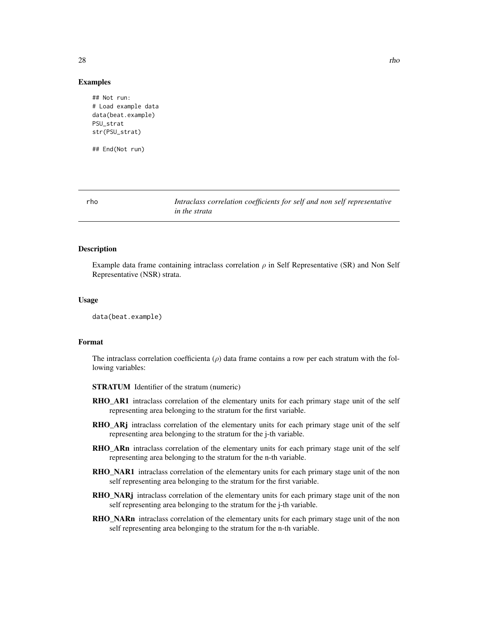<span id="page-27-0"></span>## Not run: # Load example data data(beat.example) PSU\_strat str(PSU\_strat)

## End(Not run)

<span id="page-27-1"></span>rho *Intraclass correlation coefficients for self and non self representative in the strata*

#### Description

Example data frame containing intraclass correlation  $\rho$  in Self Representative (SR) and Non Self Representative (NSR) strata.

#### Usage

data(beat.example)

#### Format

The intraclass correlation coefficienta ( $\rho$ ) data frame contains a row per each stratum with the following variables:

- STRATUM Identifier of the stratum (numeric)
- **RHO\_AR1** intraclass correlation of the elementary units for each primary stage unit of the self representing area belonging to the stratum for the first variable.
- RHO\_ARj intraclass correlation of the elementary units for each primary stage unit of the self representing area belonging to the stratum for the j-th variable.
- RHO\_ARn intraclass correlation of the elementary units for each primary stage unit of the self representing area belonging to the stratum for the n-th variable.
- RHO\_NAR1 intraclass correlation of the elementary units for each primary stage unit of the non self representing area belonging to the stratum for the first variable.
- RHO\_NARj intraclass correlation of the elementary units for each primary stage unit of the non self representing area belonging to the stratum for the j-th variable.
- RHO\_NARn intraclass correlation of the elementary units for each primary stage unit of the non self representing area belonging to the stratum for the n-th variable.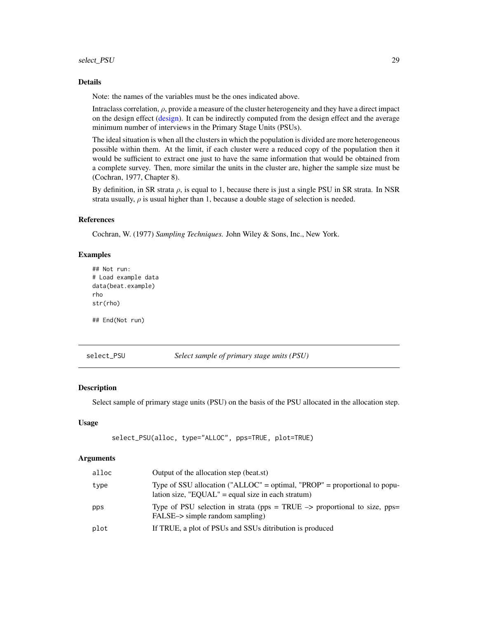#### <span id="page-28-0"></span>Details

Note: the names of the variables must be the ones indicated above.

Intraclass correlation,  $\rho$ , provide a measure of the cluster heterogeneity and they have a direct impact on the design effect [\(design\)](#page-13-1). It can be indirectly computed from the design effect and the average minimum number of interviews in the Primary Stage Units (PSUs).

The ideal situation is when all the clusters in which the population is divided are more heterogeneous possible within them. At the limit, if each cluster were a reduced copy of the population then it would be sufficient to extract one just to have the same information that would be obtained from a complete survey. Then, more similar the units in the cluster are, higher the sample size must be (Cochran, 1977, Chapter 8).

By definition, in SR strata  $\rho$ , is equal to 1, because there is just a single PSU in SR strata. In NSR strata usually,  $\rho$  is usual higher than 1, because a double stage of selection is needed.

#### References

Cochran, W. (1977) *Sampling Techniques.* John Wiley & Sons, Inc., New York.

#### Examples

```
## Not run:
# Load example data
data(beat.example)
rho
str(rho)
## End(Not run)
```
select\_PSU *Select sample of primary stage units (PSU)*

#### **Description**

Select sample of primary stage units (PSU) on the basis of the PSU allocated in the allocation step.

## Usage

```
select_PSU(alloc, type="ALLOC", pps=TRUE, plot=TRUE)
```
#### **Arguments**

| alloc | Output of the allocation step (beat.st)                                                                                         |
|-------|---------------------------------------------------------------------------------------------------------------------------------|
| type  | Type of SSU allocation ("ALLOC" = optimal, "PROP" = proportional to popu-<br>lation size, "EQUAL" = equal size in each stratum) |
| pps   | Type of PSU selection in strata ( $pps = TRUE \rightarrow proportional$ to size, $pps =$<br>FALSE-> simple random sampling)     |
| plot  | If TRUE, a plot of PSUs and SSUs ditribution is produced                                                                        |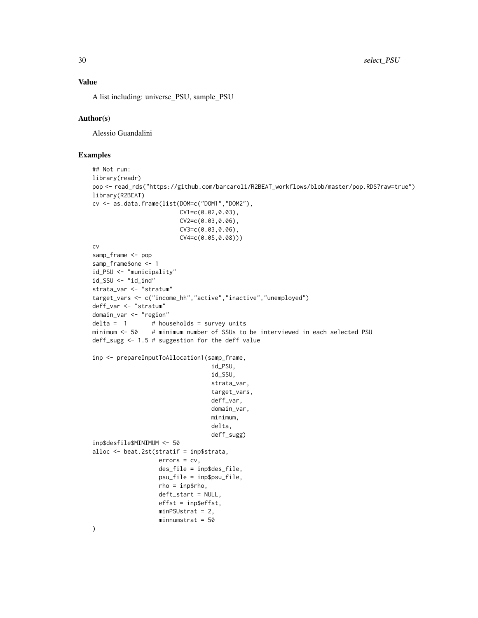## Value

A list including: universe\_PSU, sample\_PSU

#### Author(s)

Alessio Guandalini

```
## Not run:
library(readr)
pop <- read_rds("https://github.com/barcaroli/R2BEAT_workflows/blob/master/pop.RDS?raw=true")
library(R2BEAT)
cv <- as.data.frame(list(DOM=c("DOM1","DOM2"),
                         CV1=c(0.02,0.03),
                         CV2=c(0.03, 0.06),
                         CV3=c(0.03,0.06),
                         CV4=c(0.05,0.08)))
cv
samp_frame <- pop
samp_frame$one <- 1
id_PSU <- "municipality"
id_SSU <- "id_ind"
strata_var <- "stratum"
target_vars <- c("income_hh","active","inactive","unemployed")
deff_var <- "stratum"
domain_var <- "region"
delta = 1 # households = survey units
minimum <- 50 # minimum number of SSUs to be interviewed in each selected PSU
deff_sugg <- 1.5 # suggestion for the deff value
inp <- prepareInputToAllocation1(samp_frame,
                                  id_PSU,
                                  id_SSU,
                                  strata_var,
                                  target_vars,
                                  deff_var,
                                  domain_var,
                                  minimum,
                                  delta,
                                  deff_sugg)
inp$desfile$MINIMUM <- 50
alloc <- beat.2st(stratif = inp$strata,
                   errors = cv,
                   des_file = inp$des_file,
                   psu_file = inp$psu_file,
                   rho = inp$rho,
                   deft_start = NULL,
                   effst = inp$effst,
                   minPSUstrat = 2,
                  minnumstrat = 50)
```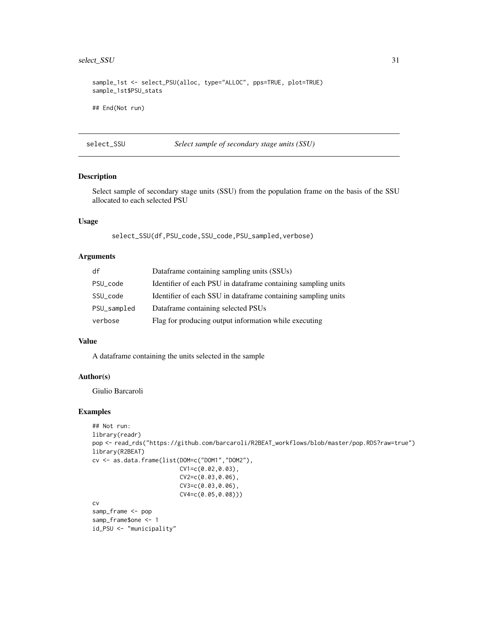## <span id="page-30-0"></span>select\_SSU 31

sample\_1st <- select\_PSU(alloc, type="ALLOC", pps=TRUE, plot=TRUE) sample\_1st\$PSU\_stats ## End(Not run)

select\_SSU *Select sample of secondary stage units (SSU)*

## Description

Select sample of secondary stage units (SSU) from the population frame on the basis of the SSU allocated to each selected PSU

## Usage

select\_SSU(df,PSU\_code,SSU\_code,PSU\_sampled,verbose)

## Arguments

| df          | Dataframe containing sampling units (SSUs)                    |  |
|-------------|---------------------------------------------------------------|--|
| PSU_code    | Identifier of each PSU in dataframe containing sampling units |  |
| SSU_code    | Identifier of each SSU in dataframe containing sampling units |  |
| PSU_sampled | Dataframe containing selected PSUs                            |  |
| verbose     | Flag for producing output information while executing         |  |

#### Value

A dataframe containing the units selected in the sample

#### Author(s)

Giulio Barcaroli

```
## Not run:
library(readr)
pop <- read_rds("https://github.com/barcaroli/R2BEAT_workflows/blob/master/pop.RDS?raw=true")
library(R2BEAT)
cv <- as.data.frame(list(DOM=c("DOM1","DOM2"),
                         CV1=c(0.02,0.03),
                         CV2=c(0.03,0.06),
                         CV3=c(0.03,0.06),
                         CV4=c(0.05,0.08)))
cv
samp_frame <- pop
samp_frame$one <- 1
id_PSU <- "municipality"
```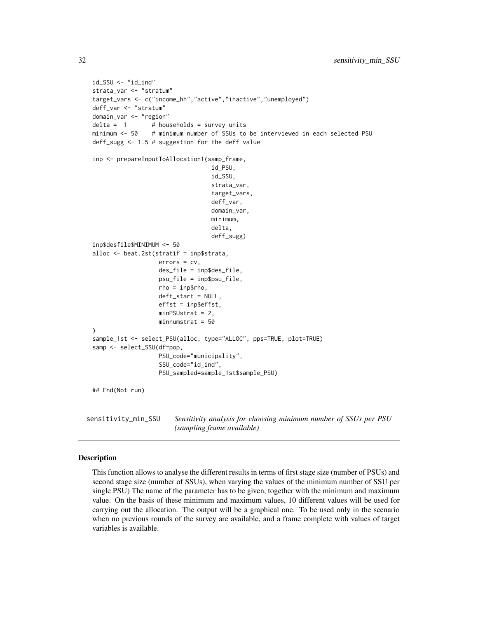```
id_SSU <- "id_ind"
strata_var <- "stratum"
target_vars <- c("income_hh","active","inactive","unemployed")
deff_var <- "stratum"
domain_var <- "region"
delta = 1 # households = survey units
minimum <- 50 # minimum number of SSUs to be interviewed in each selected PSU
deff_sugg <- 1.5 # suggestion for the deff value
inp <- prepareInputToAllocation1(samp_frame,
                                  id_PSU,
                                  id_SSU,
                                  strata_var,
                                  target_vars,
                                  deff_var,
                                  domain_var,
                                  minimum,
                                  delta,
                                  deff_sugg)
inp$desfile$MINIMUM <- 50
alloc <- beat.2st(stratif = inp$strata,
                   errors = cv,
                   des_file = inp$des_file,
                   psu_file = inp$psu_file,
                   rho = inp$rho,
                   deft_start = NULL,
                   effst = inp$effst,
                   minPSUstrat = 2,
                   minnumstrat = 50
)
sample_1st <- select_PSU(alloc, type="ALLOC", pps=TRUE, plot=TRUE)
samp <- select_SSU(df=pop,
                   PSU_code="municipality",
                   SSU_code="id_ind",
                   PSU_sampled=sample_1st$sample_PSU)
## End(Not run)
```
sensitivity\_min\_SSU *Sensitivity analysis for choosing minimum number of SSUs per PSU (sampling frame available)*

#### Description

This function allows to analyse the different results in terms of first stage size (number of PSUs) and second stage size (number of SSUs), when varying the values of the minimum number of SSU per single PSU) The name of the parameter has to be given, together with the minimum and maximum value. On the basis of these minimum and maximum values, 10 different values will be used for carrying out the allocation. The output will be a graphical one. To be used only in the scenario when no previous rounds of the survey are available, and a frame complete with values of target variables is available.

<span id="page-31-0"></span>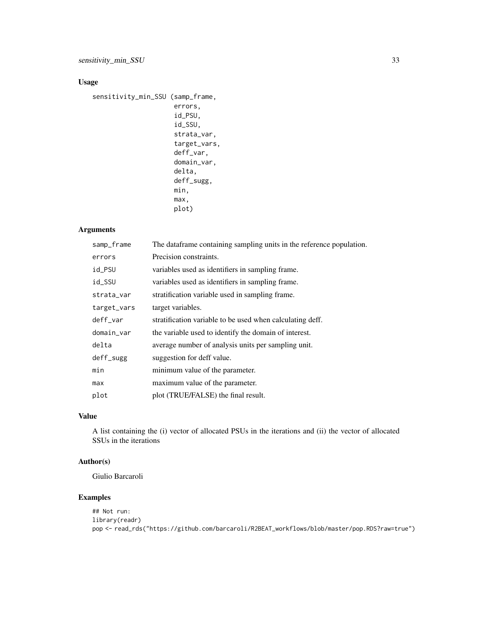## Usage

```
sensitivity_min_SSU (samp_frame,
                      errors,
                      id_PSU,
                      id_SSU,
                      strata_var,
                      target_vars,
                      deff_var,
                      domain_var,
                      delta,
                      deff_sugg,
                      min,
                      max,
                      plot)
```
## Arguments

| samp_frame  | The dataframe containing sampling units in the reference population. |
|-------------|----------------------------------------------------------------------|
| errors      | Precision constraints.                                               |
| id_PSU      | variables used as identifiers in sampling frame.                     |
| id_SSU      | variables used as identifiers in sampling frame.                     |
| strata_var  | stratification variable used in sampling frame.                      |
| target_vars | target variables.                                                    |
| deff_var    | stratification variable to be used when calculating deff.            |
| domain_var  | the variable used to identify the domain of interest.                |
| delta       | average number of analysis units per sampling unit.                  |
| deff_sugg   | suggestion for deff value.                                           |
| min         | minimum value of the parameter.                                      |
| max         | maximum value of the parameter.                                      |
| plot        | plot (TRUE/FALSE) the final result.                                  |
|             |                                                                      |

## Value

A list containing the (i) vector of allocated PSUs in the iterations and (ii) the vector of allocated SSUs in the iterations

## Author(s)

Giulio Barcaroli

```
## Not run:
library(readr)
pop <- read_rds("https://github.com/barcaroli/R2BEAT_workflows/blob/master/pop.RDS?raw=true")
```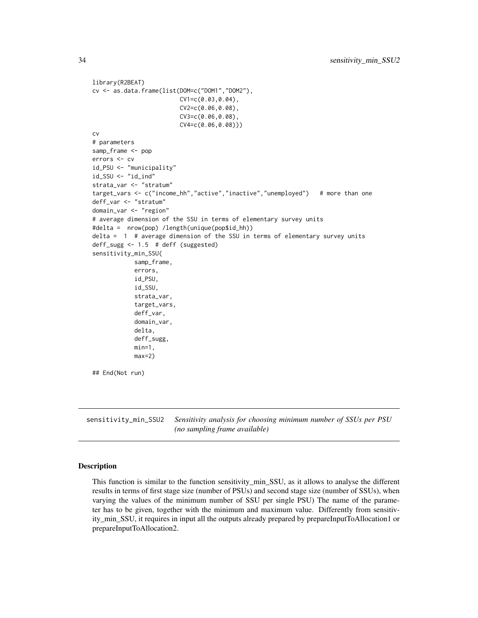```
library(R2BEAT)
cv <- as.data.frame(list(DOM=c("DOM1","DOM2"),
                         CV1=c(0.03,0.04),
                         CV2=c(0.06,0.08),
                         CV3=c(0.06,0.08),
                         CV4=c(0.06,0.08)))
cv
# parameters
samp_frame <- pop
errors <- cv
id_PSU <- "municipality"
id_SSU <- "id_ind"
strata_var <- "stratum"
target_vars <- c("income_hh","active","inactive","unemployed") # more than one
deff_var <- "stratum"
domain_var <- "region"
# average dimension of the SSU in terms of elementary survey units
#delta = nrow(pop) /length(unique(pop$id_hh))
delta = 1 # average dimension of the SSU in terms of elementary survey units
deff_sugg <- 1.5 # deff (suggested)
sensitivity_min_SSU(
            samp_frame,
            errors,
            id_PSU,
            id_SSU,
            strata_var,
            target_vars,
            deff_var,
            domain_var,
            delta,
            deff_sugg,
            min=1,
            max=2)
## End(Not run)
```
sensitivity\_min\_SSU2 *Sensitivity analysis for choosing minimum number of SSUs per PSU (no sampling frame available)*

#### Description

This function is similar to the function sensitivity min SSU, as it allows to analyse the different results in terms of first stage size (number of PSUs) and second stage size (number of SSUs), when varying the values of the minimum number of SSU per single PSU) The name of the parameter has to be given, together with the minimum and maximum value. Differently from sensitivity\_min\_SSU, it requires in input all the outputs already prepared by prepareInputToAllocation1 or prepareInputToAllocation2.

<span id="page-33-0"></span>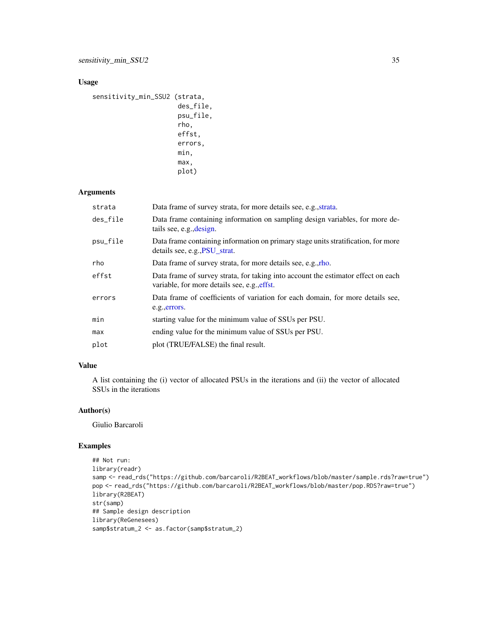## <span id="page-34-0"></span>Usage

```
sensitivity_min_SSU2 (strata,
                       des_file,
                       psu_file,
                       rho,
                       effst,
                       errors,
                       min,
                       max,
                       plot)
```
## Arguments

| strata   | Data frame of survey strata, for more details see, e.g., strata.                                                                  |
|----------|-----------------------------------------------------------------------------------------------------------------------------------|
| des_file | Data frame containing information on sampling design variables, for more de-<br>tails see, e.g., design.                          |
| psu_file | Data frame containing information on primary stage units stratification, for more<br>details see, e.g., PSU strat.                |
| rho      | Data frame of survey strata, for more details see, e.g., rho.                                                                     |
| effst    | Data frame of survey strata, for taking into account the estimator effect on each<br>variable, for more details see, e.g., effst. |
| errors   | Data frame of coefficients of variation for each domain, for more details see,<br>e.g., errors.                                   |
| min      | starting value for the minimum value of SSUs per PSU.                                                                             |
| max      | ending value for the minimum value of SSUs per PSU.                                                                               |
| plot     | plot (TRUE/FALSE) the final result.                                                                                               |

## Value

A list containing the (i) vector of allocated PSUs in the iterations and (ii) the vector of allocated SSUs in the iterations

## Author(s)

Giulio Barcaroli

```
## Not run:
library(readr)
samp <- read_rds("https://github.com/barcaroli/R2BEAT_workflows/blob/master/sample.rds?raw=true")
pop <- read_rds("https://github.com/barcaroli/R2BEAT_workflows/blob/master/pop.RDS?raw=true")
library(R2BEAT)
str(samp)
## Sample design description
library(ReGenesees)
samp$stratum_2 <- as.factor(samp$stratum_2)
```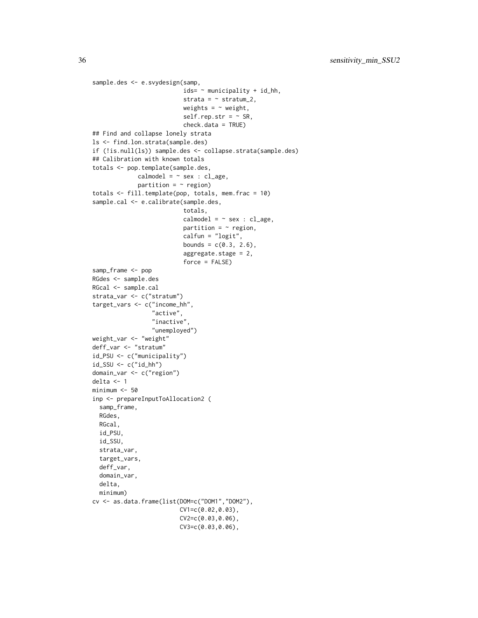```
sample.des <- e.svydesign(samp,
                          ids= ~ municipality + id_hh,
                          strata = \sim stratum_2,
                          weights = \sim weight,
                          self.rep.str = ~\sim SR,
                          check.data = TRUE)
## Find and collapse lonely strata
ls <- find.lon.strata(sample.des)
if (!is.null(ls)) sample.des <- collapse.strata(sample.des)
## Calibration with known totals
totals <- pop.template(sample.des,
             cal = - sex : cl_age,
             partition = \sim region)
totals <- fill.template(pop, totals, mem.frac = 10)
sample.cal <- e.calibrate(sample.des,
                          totals,
                          cal = - sex : cl_age,
                          partition = \sim region,
                          calfun = "logit",
                          bounds = c(0.3, 2.6),
                          aggregate.stage = 2,
                          force = FALSE)
samp_frame <- pop
RGdes <- sample.des
RGcal <- sample.cal
strata_var <- c("stratum")
target_vars <- c("income_hh",
                 "active",
                 "inactive",
                 "unemployed")
weight_var <- "weight"
deff_var <- "stratum"
id_PSU <- c("municipality")
id_SSU <- c("id_hh")
domain_var <- c("region")
delta <- 1
minimum <- 50
inp <- prepareInputToAllocation2 (
  samp_frame,
  RGdes,
  RGcal,
  id_PSU,
  id_SSU,
  strata_var,
  target_vars,
  deff_var,
  domain_var,
  delta,
  minimum)
cv <- as.data.frame(list(DOM=c("DOM1","DOM2"),
                         CV1=c(0.02,0.03),
                         CV2=c(0.03,0.06),
                         CV3=c(0.03,0.06),
```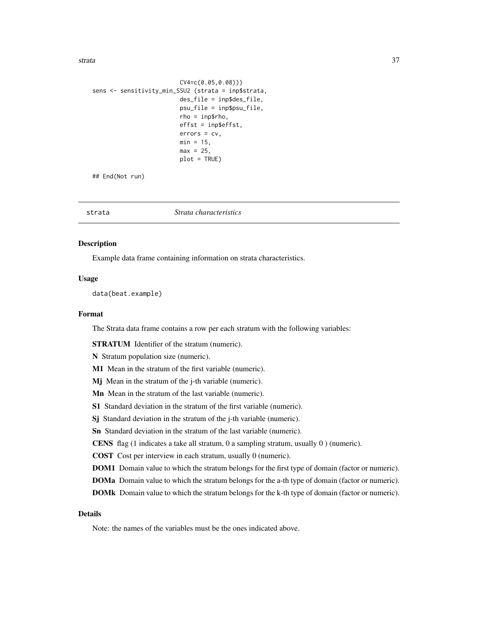<span id="page-36-0"></span>strata 37

```
CV4=c(0.05,0.08)))
sens <- sensitivity_min_SSU2 (strata = inp$strata,
                         des_file = inp$des_file,
                         psu_file = inp$psu_file,
                         rho = inp$rho,
                         effst = inp$effst,
                         errors = cv,
                         min = 15,
                         max = 25,
                         plot = TRUE)
```
## End(Not run)

<span id="page-36-1"></span>

|  | Strata characteristics | strata |
|--|------------------------|--------|
|--|------------------------|--------|

#### Description

Example data frame containing information on strata characteristics.

## Usage

data(beat.example)

## Format

The Strata data frame contains a row per each stratum with the following variables:

STRATUM Identifier of the stratum (numeric).

N Stratum population size (numeric).

M1 Mean in the stratum of the first variable (numeric).

Mj Mean in the stratum of the j-th variable (numeric).

Mn Mean in the stratum of the last variable (numeric).

S1 Standard deviation in the stratum of the first variable (numeric).

Sj Standard deviation in the stratum of the j-th variable (numeric).

Sn Standard deviation in the stratum of the last variable (numeric).

CENS flag (1 indicates a take all stratum, 0 a sampling stratum, usually 0 ) (numeric).

COST Cost per interview in each stratum, usually 0 (numeric).

DOM1 Domain value to which the stratum belongs for the first type of domain (factor or numeric).

DOMa Domain value to which the stratum belongs for the a-th type of domain (factor or numeric).

DOMk Domain value to which the stratum belongs for the k-th type of domain (factor or numeric).

## Details

Note: the names of the variables must be the ones indicated above.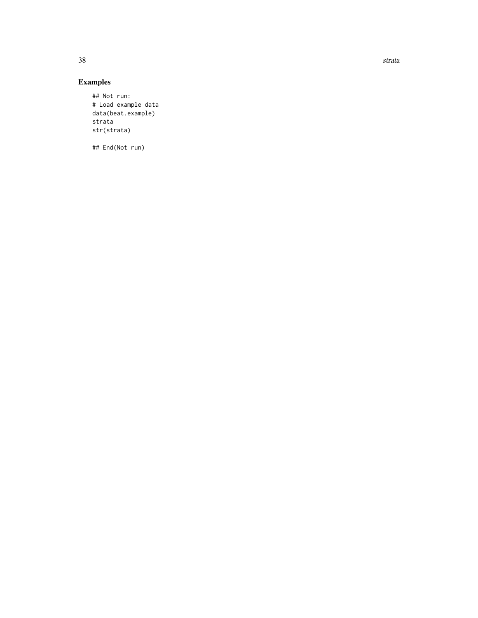38 strata and the strategies of the strategies of the strategies of the strategies of the strategies of the strategies of the strategies of the strategies of the strategies of the strategies of the strategies of the strate

## Examples

## Not run: # Load example data data(beat.example) strata str(strata)

## End(Not run)